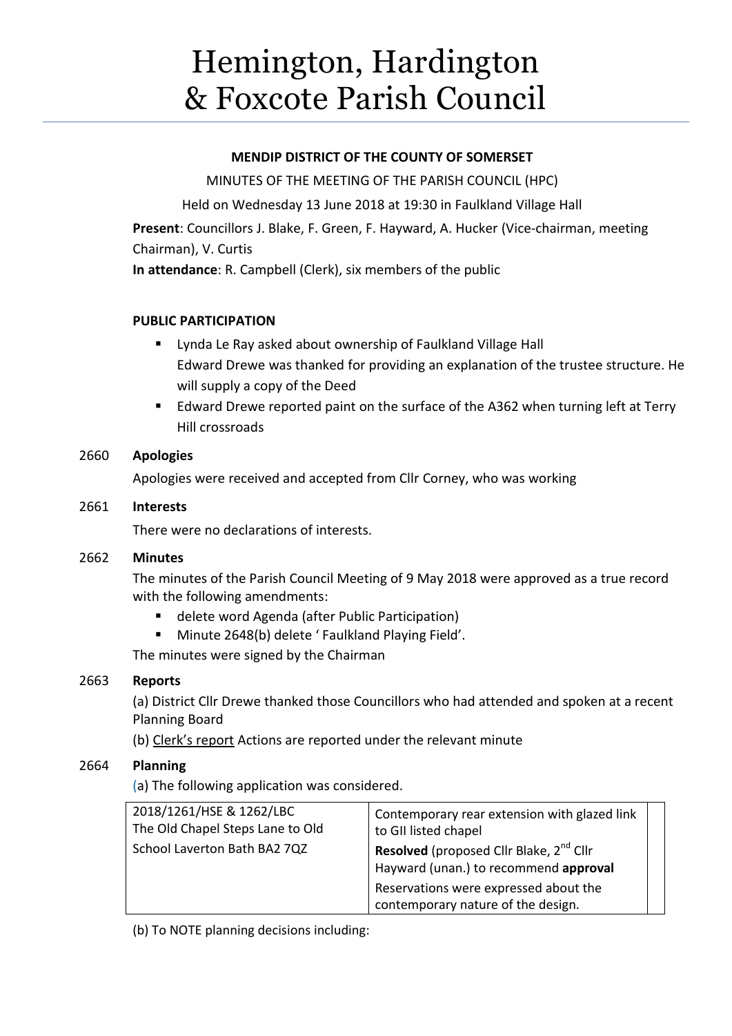# Hemington, Hardington & Foxcote Parish Council

# **MENDIP DISTRICT OF THE COUNTY OF SOMERSET**

MINUTES OF THE MEETING OF THE PARISH COUNCIL (HPC) Held on Wednesday 13 June 2018 at 19:30 in Faulkland Village Hall

**Present**: Councillors J. Blake, F. Green, F. Hayward, A. Hucker (Vice-chairman, meeting Chairman), V. Curtis

**In attendance**: R. Campbell (Clerk), six members of the public

# **PUBLIC PARTICIPATION**

- Lynda Le Ray asked about ownership of Faulkland Village Hall Edward Drewe was thanked for providing an explanation of the trustee structure. He will supply a copy of the Deed
- Edward Drewe reported paint on the surface of the A362 when turning left at Terry Hill crossroads

# 2660 **Apologies**

Apologies were received and accepted from Cllr Corney, who was working

## 2661 **Interests**

There were no declarations of interests.

## 2662 **Minutes**

The minutes of the Parish Council Meeting of 9 May 2018 were approved as a true record with the following amendments:

- delete word Agenda (after Public Participation)
- Minute 2648(b) delete ' Faulkland Playing Field'.

The minutes were signed by the Chairman

## 2663 **Reports**

(a) District Cllr Drewe thanked those Councillors who had attended and spoken at a recent Planning Board

(b) Clerk's report Actions are reported under the relevant minute

# 2664 **Planning**

(a) The following application was considered.

| 2018/1261/HSE & 1262/LBC<br>The Old Chapel Steps Lane to Old<br>School Laverton Bath BA2 7QZ | Contemporary rear extension with glazed link<br>to GII listed chapel<br>Resolved (proposed Cllr Blake, 2 <sup>nd</sup> Cllr<br>Hayward (unan.) to recommend approval |  |
|----------------------------------------------------------------------------------------------|----------------------------------------------------------------------------------------------------------------------------------------------------------------------|--|
|                                                                                              | Reservations were expressed about the<br>contemporary nature of the design.                                                                                          |  |

(b) To NOTE planning decisions including: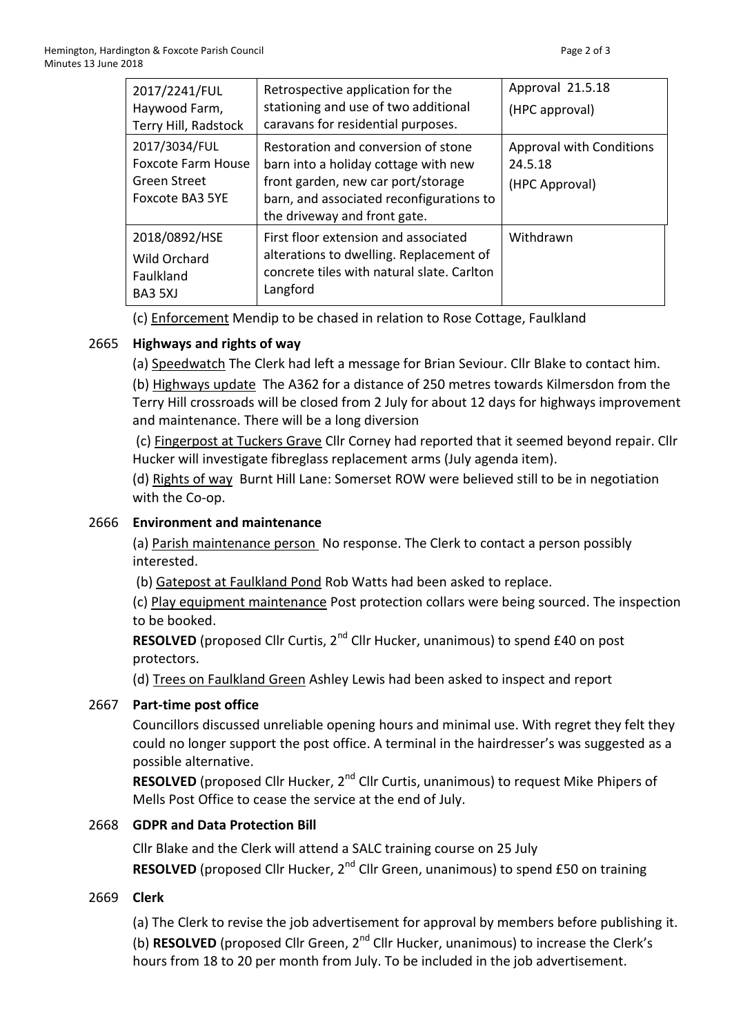| 2017/2241/FUL<br>Haywood Farm,<br>Terry Hill, Radstock                               | Retrospective application for the<br>stationing and use of two additional<br>caravans for residential purposes.                                                                               | Approval 21.5.18<br>(HPC approval)                           |
|--------------------------------------------------------------------------------------|-----------------------------------------------------------------------------------------------------------------------------------------------------------------------------------------------|--------------------------------------------------------------|
| 2017/3034/FUL<br><b>Foxcote Farm House</b><br><b>Green Street</b><br>Foxcote BA3 5YE | Restoration and conversion of stone<br>barn into a holiday cottage with new<br>front garden, new car port/storage<br>barn, and associated reconfigurations to<br>the driveway and front gate. | <b>Approval with Conditions</b><br>24.5.18<br>(HPC Approval) |
| 2018/0892/HSE<br>Wild Orchard<br>Faulkland<br>BA3 5XJ                                | First floor extension and associated<br>alterations to dwelling. Replacement of<br>concrete tiles with natural slate. Carlton<br>Langford                                                     | Withdrawn                                                    |

(c) Enforcement Mendip to be chased in relation to Rose Cottage, Faulkland

# 2665 **Highways and rights of way**

(a) Speedwatch The Clerk had left a message for Brian Seviour. Cllr Blake to contact him.

(b) Highways update The A362 for a distance of 250 metres towards Kilmersdon from the Terry Hill crossroads will be closed from 2 July for about 12 days for highways improvement and maintenance. There will be a long diversion

(c) Fingerpost at Tuckers Grave Cllr Corney had reported that it seemed beyond repair. Cllr Hucker will investigate fibreglass replacement arms (July agenda item).

(d) Rights of way Burnt Hill Lane: Somerset ROW were believed still to be in negotiation with the Co-op.

# 2666 **Environment and maintenance**

(a) Parish maintenance person No response. The Clerk to contact a person possibly interested.

(b) Gatepost at Faulkland Pond Rob Watts had been asked to replace.

(c) Play equipment maintenance Post protection collars were being sourced. The inspection to be booked.

**RESOLVED** (proposed Cllr Curtis, 2<sup>nd</sup> Cllr Hucker, unanimous) to spend £40 on post protectors.

(d) Trees on Faulkland Green Ashley Lewis had been asked to inspect and report

# 2667 **Part-time post office**

Councillors discussed unreliable opening hours and minimal use. With regret they felt they could no longer support the post office. A terminal in the hairdresser's was suggested as a possible alternative.

**RESOLVED** (proposed Cllr Hucker, 2<sup>nd</sup> Cllr Curtis, unanimous) to request Mike Phipers of Mells Post Office to cease the service at the end of July.

# 2668 **GDPR and Data Protection Bill**

Cllr Blake and the Clerk will attend a SALC training course on 25 July **RESOLVED** (proposed Cllr Hucker, 2<sup>nd</sup> Cllr Green, unanimous) to spend £50 on training

# 2669 **Clerk**

(a) The Clerk to revise the job advertisement for approval by members before publishing it. (b) **RESOLVED** (proposed Cllr Green, 2<sup>nd</sup> Cllr Hucker, unanimous) to increase the Clerk's hours from 18 to 20 per month from July. To be included in the job advertisement.